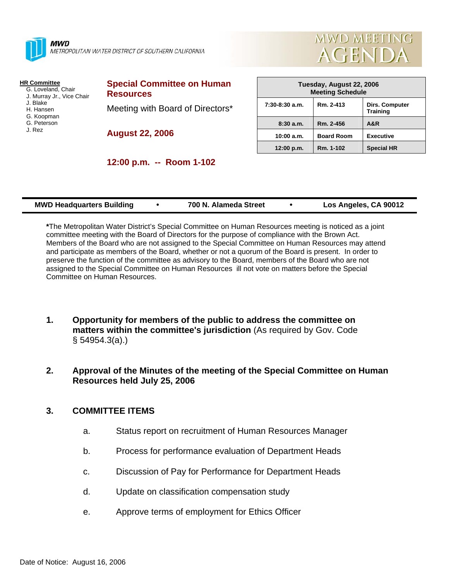

**MWD** METROPOLITAN WATER DISTRICT OF SOUTHERN CALIFORNIA



#### **HR Committee**

- G. Loveland, Chair J. Murray Jr., Vice Chair
- J. Blake
- H. Hansen
- G. Koopman
- G. Peterson
- J. Rez

**Special Committee on Human Resources**  Meeting with Board of Directors\*

**12:00 p.m. -- Room 1-102** 

**August 22, 2006** 

| Tuesday, August 22, 2006<br><b>Meeting Schedule</b> |                   |                                          |  |  |
|-----------------------------------------------------|-------------------|------------------------------------------|--|--|
| $7:30-8:30$ a.m.                                    | Rm. 2-413         | <b>Dirs. Computer</b><br><b>Training</b> |  |  |
| 8:30a.m.                                            | Rm. 2-456         | A&R                                      |  |  |
| 10:00 a.m.                                          | <b>Board Room</b> | <b>Executive</b>                         |  |  |
| 12:00 p.m.                                          | Rm. 1-102         | <b>Special HR</b>                        |  |  |

| <b>MWD Headquarters Building</b> | 700 N. Alameda Street | Los Angeles, CA 90012 |
|----------------------------------|-----------------------|-----------------------|

**\***The Metropolitan Water District's Special Committee on Human Resources meeting is noticed as a joint committee meeting with the Board of Directors for the purpose of compliance with the Brown Act. Members of the Board who are not assigned to the Special Committee on Human Resources may attend and participate as members of the Board, whether or not a quorum of the Board is present. In order to preserve the function of the committee as advisory to the Board, members of the Board who are not assigned to the Special Committee on Human Resources ill not vote on matters before the Special Committee on Human Resources.

- **1. Opportunity for members of the public to address the committee on matters within the committee's jurisdiction** (As required by Gov. Code § 54954.3(a).)
- **2. Approval of the Minutes of the meeting of the Special Committee on Human Resources held July 25, 2006**

## **3. COMMITTEE ITEMS**

- a. Status report on recruitment of Human Resources Manager
- b. Process for performance evaluation of Department Heads
- c. Discussion of Pay for Performance for Department Heads
- d. Update on classification compensation study
- e. Approve terms of employment for Ethics Officer